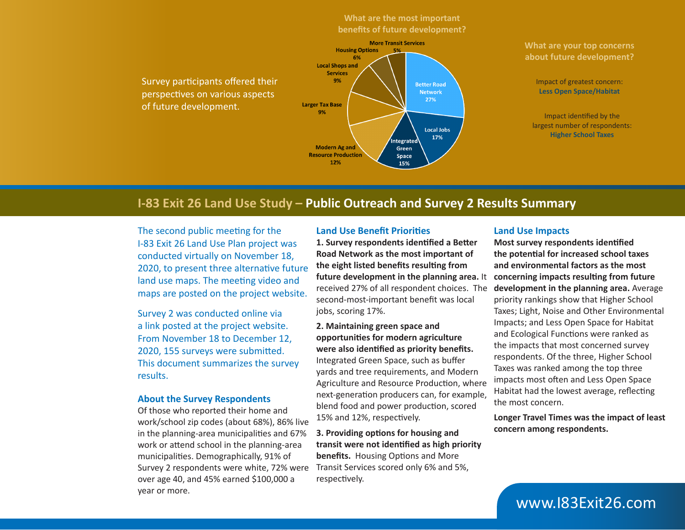### **What are the most important benefits of future development?**

Survey participants offered their perspectives on various aspects of future development.



#### **What are your top concerns about future development?**

Impact of greatest concern: **Less Open Space/Habitat**

Impact identified by the largest number of respondents: **Higher School Taxes**

## **I-83 Exit 26 Land Use Study – Public Outreach and Survey 2 Results Summary**

The second public meeting for the I-83 Exit 26 Land Use Plan project was conducted virtually on November 18, 2020, to present three alternative future land use maps. The meeting video and maps are posted on the project website.

Survey 2 was conducted online via a link posted at the project website. From November 18 to December 12, 2020, 155 surveys were submitted. This document summarizes the survey results.

#### **About the Survey Respondents**

Of those who reported their home and work/school zip codes (about 68%), 86% live in the planning-area municipalities and 67% work or attend school in the planning-area municipalities. Demographically, 91% of Survey 2 respondents were white, 72% were over age 40, and 45% earned \$100,000 a year or more.

#### **Land Use Benefit Priorities**

**1. Survey respondents identified a Better Road Network as the most important of the eight listed benefits resulting from future development in the planning area.** It received 27% of all respondent choices. The second-most-important benefit was local jobs, scoring 17%.

**2. Maintaining green space and opportunities for modern agriculture were also identified as priority benefits.**  Integrated Green Space, such as buffer yards and tree requirements, and Modern Agriculture and Resource Production, where next-generation producers can, for example, blend food and power production, scored 15% and 12%, respectively.

**3. Providing options for housing and transit were not identified as high priority benefits.** Housing Options and More Transit Services scored only 6% and 5%, respectively.

#### **Land Use Impacts**

**Most survey respondents identified the potential for increased school taxes and environmental factors as the most concerning impacts resulting from future development in the planning area.** Average priority rankings show that Higher School Taxes; Light, Noise and Other Environmental Impacts; and Less Open Space for Habitat and Ecological Functions were ranked as the impacts that most concerned survey respondents. Of the three, Higher School Taxes was ranked among the top three impacts most often and Less Open Space Habitat had the lowest average, reflecting the most concern.

**Longer Travel Times was the impact of least concern among respondents.** 

# www.I83Exit26.com